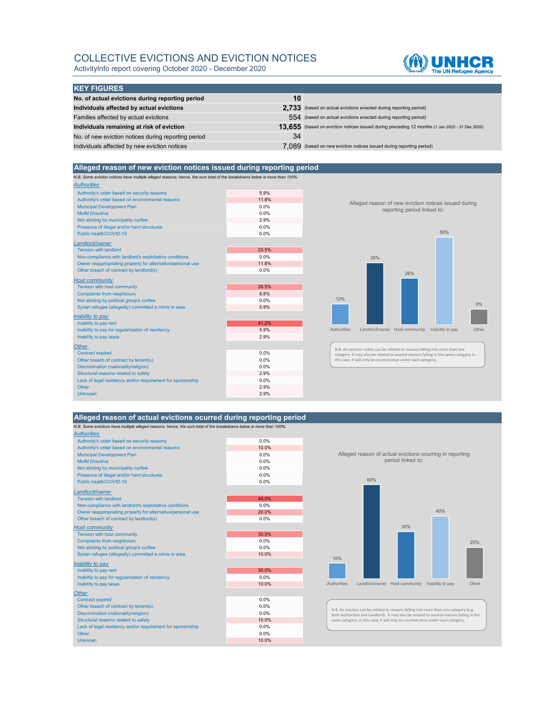## COLLECTIVE EVICTIONS AND EVICTION NOTICES

ActivityInfo report covering October 2020 - December 2020



| <b>KEY FIGURES</b>                                  |    |                                                                                                |
|-----------------------------------------------------|----|------------------------------------------------------------------------------------------------|
| No. of actual evictions during reporting period     | 10 |                                                                                                |
| Individuals affected by actual evictions            |    | 2.733 (based on actual evictions enacted during reporting period)                              |
| Families affected by actual evictions               |    | 554 (based on actual evictions enacted during reporting period)                                |
| Individuals remaining at risk of eviction           |    | 13.655 (based on eviction notices issued during preceding 12 months (1 Jan 2020 - 31 Dec 2020) |
| No. of new eviction notices during reporting period | 34 |                                                                                                |
| Individuals affected by new eviction notices        |    | 7.089 (based on new eviction notices issued during reporting period)                           |

# **Alleged reason of new eviction notices issued during reporting period**

*N.B. Some eviction notices have multiple alleged reasons; hence, the sum total of the breakdowns below is more than 100%.*

| <b>Authorities</b>                                          |       |                                                                                                             |
|-------------------------------------------------------------|-------|-------------------------------------------------------------------------------------------------------------|
| Authority's order based on security reasons                 | 5.9%  |                                                                                                             |
| Authority's order based on environmental reasons            | 11.8% |                                                                                                             |
| <b>Municipal Development Plan</b>                           | 0.0%  | Alleged reason of new eviction                                                                              |
| <b>MoIM Directive</b>                                       | 0.0%  | reporting period                                                                                            |
| Not abiding by municipality curfew                          | 2.9%  |                                                                                                             |
| Presence of illegal and/or hard structures                  | 0.0%  |                                                                                                             |
| Public health/COVID-19                                      | 0.0%  |                                                                                                             |
| Landlord/owner                                              |       |                                                                                                             |
| <b>Tension with landlord</b>                                | 23.5% |                                                                                                             |
| Non-compliance with landlord's exploitative conditions      | 0.0%  | 35%                                                                                                         |
| Owner reappropriating property for alternative/personal use | 11.8% |                                                                                                             |
| Other breach of contract by landlord(s)                     | 0.0%  | 26%                                                                                                         |
| <b>Host community</b>                                       |       |                                                                                                             |
| <b>Tension with host community</b>                          | 26.5% |                                                                                                             |
| <b>Complaints from neighbours</b>                           | 8.8%  |                                                                                                             |
| Not abiding by political group's curfew                     | 0.0%  | 12%                                                                                                         |
| Syrian refugee (allegedly) committed a crime in area        | 5.9%  |                                                                                                             |
| Inability to pay                                            |       |                                                                                                             |
| Inability to pay rent                                       | 41.2% |                                                                                                             |
| Inability to pay for regularization of residency            | 5.9%  | <b>Authorities</b><br>Landlord/owner Host communit                                                          |
| Inability to pay taxes                                      | 2.9%  |                                                                                                             |
| <b>Other</b>                                                |       |                                                                                                             |
| <b>Contract expired</b>                                     | 0.0%  | N.B. An eviction notice can be related to reasons fa<br>category. It may also be related to several reasons |
| Other breach of contract by tenant(s)                       | 0.0%  | this case, it will only be counted once under each c                                                        |
| Discrimination (nationality/religion)                       | 0.0%  |                                                                                                             |
| Structural reasons related to safety                        | 2.9%  |                                                                                                             |
| Lack of legal residency and/or requirement for sponsorship  | 0.0%  |                                                                                                             |
| Other                                                       | 2.9%  |                                                                                                             |
| <b>Unknown</b>                                              | 2.9%  |                                                                                                             |
|                                                             |       |                                                                                                             |





N.B. An eviction notice can be related to reasons falling into more than one<br>category. It may also be related to several reasons falling in the same category; in<br>this case, it will only be counted once under each category.

### **Alleged reason of actual evictions ocurred during reporting period**

*N.B. Some evictions have multiple alleged reasons; hence, the sum total of the breakdowns below is more than 100%.*

| 0.0%    |
|---------|
| 10.0%   |
| 0.0%    |
| 0.0%    |
| 0.0%    |
| 0.0%    |
| 0.0%    |
|         |
| 40.0%   |
| 0.0%    |
| 20.0%   |
| 0.0%    |
|         |
| 30.0%   |
| 0.0%    |
| 0.0%    |
| 10.0%   |
|         |
| 30.0%   |
| 0.0%    |
| 10.0%   |
|         |
| 0.0%    |
| $0.0\%$ |
| 0.0%    |
| 10.0%   |
| 0.0%    |
| 0.0%    |
| 10.0%   |
|         |

Alleged reason of actual evictions ocurring in reporting period linked to:



N.B. An eviction can be related to reasons falling into more than one category (e.g.<br>both Authorities and Landlord). It may also be related to several reasons falling in the<br>same category; in this case, it will only be cou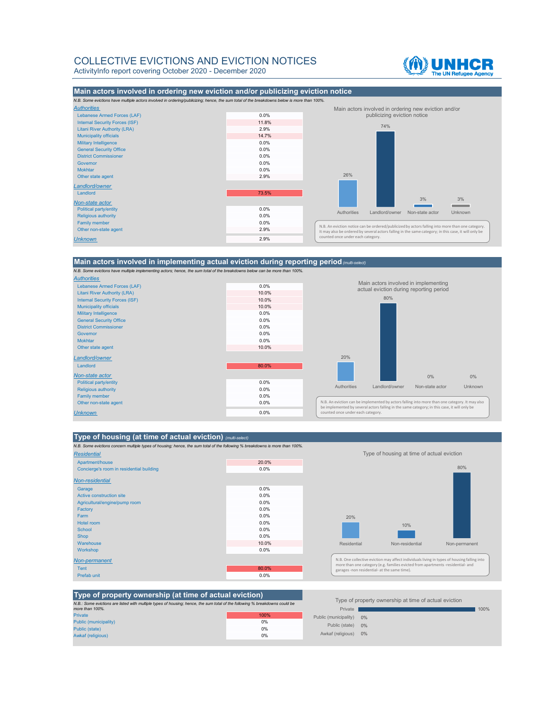### COLLECTIVE EVICTIONS AND EVICTION NOTICES ActivityInfo report covering October 2020 - December 2020

《M】UNHCR



### **Main actors involved in implementing actual eviction during reporting period***(multi-select)*

*N.B. Some evictions have multiple implementing actors; hence, the sum total of the breakdowns below can be more than 100%.*



#### **Type of housing (at time of actual eviction)** *(multi-select)*

*N.B. Some evictions concern multiple types of housing; hence, the sum total of the following % breakdowns is more than 100%.*

| Apartment/house                          | 20.0% |
|------------------------------------------|-------|
|                                          |       |
| Concierge's room in residential building | 0.0%  |
| Non-residential                          |       |
| Garage                                   | 0.0%  |
| Active construction site                 | 0.0%  |
| Agricultural/engine/pump room            | 0.0%  |
| Factory                                  | 0.0%  |
| Farm                                     | 0.0%  |
| Hotel room                               | 0.0%  |
| <b>School</b>                            | 0.0%  |
| <b>Shop</b>                              | 0.0%  |
| Warehouse                                | 10.0% |
| Workshop                                 | 0.0%  |
| Non-permanent                            |       |
| <b>Tent</b>                              | 80.0% |
| Prefab unit                              | 0.0%  |



| Type of property ownership (at time of actual eviction)                                                                     |      |                                                       |  |      |
|-----------------------------------------------------------------------------------------------------------------------------|------|-------------------------------------------------------|--|------|
| N.B.: Some evictions are listed with multiple types of housing; hence, the sum total of the following % breakdowns could be |      | Type of property ownership at time of actual eviction |  |      |
| more than 100%.                                                                                                             |      | Private                                               |  | 100% |
| <b>Private</b>                                                                                                              | 100% | Public (municipality) 0%                              |  |      |
| Public (municipality)                                                                                                       | 0%   |                                                       |  |      |
| Public (state)                                                                                                              | 0%   | Public (state) 0%                                     |  |      |
| <b>Awkaf (religious)</b>                                                                                                    | 0%   | Awkaf (religious) 0%                                  |  |      |

### Public (municipality) 0% Public (state) 0% Awkaf (religious) 0% Private Type of property ownership at time of actual eviction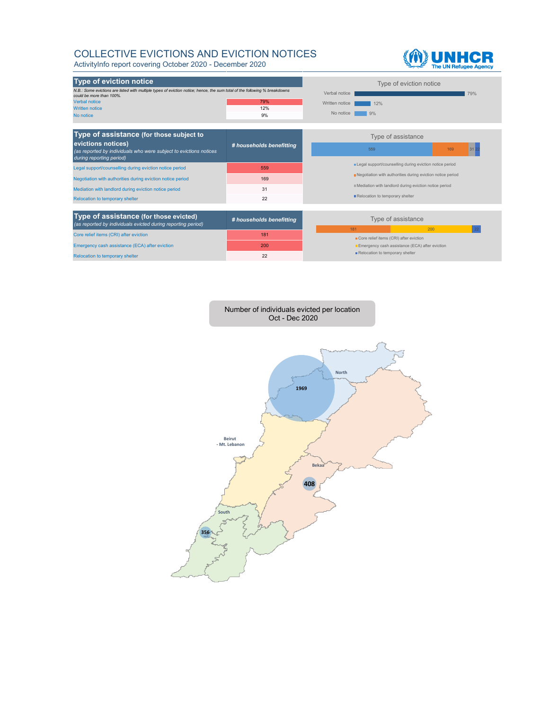## COLLECTIVE EVICTIONS AND EVICTION NOTICES

ActivityInfo report covering October 2020 - December 2020





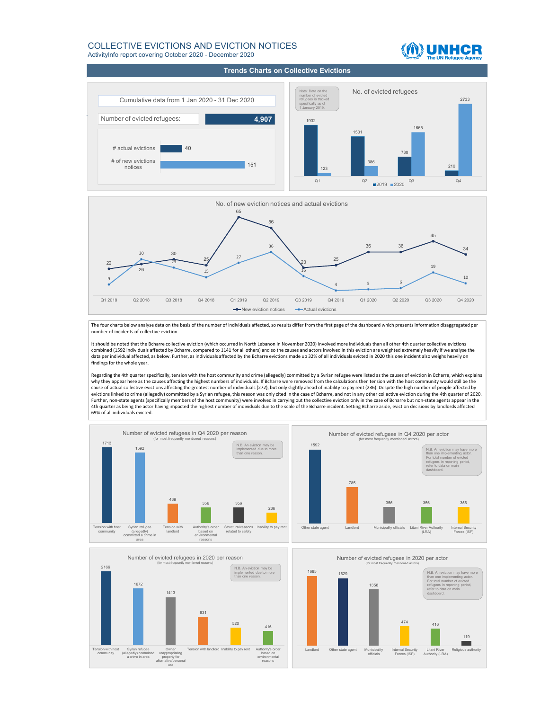#### COLLECTIVE EVICTIONS AND EVICTION NOTICES ActivityInfo report covering October 2020 - December 2020

**Trends Charts on Collective Evictions**

**UNHCR** 





The four charts below analyse data on the basis of the number of individuals affected, so results differ from the first page of the dashboard which presents information disaggregated per number of incidents of collective eviction.

It should be noted that the Bcharre collective eviction (which occurred in North Lebanon in November 2020) involved more individuals than all other 4th quarter collective evictions combined (1592 individuals affected by Bcharre, compared to 1141 for all others) and so the causes and actors involved in this eviction are weighted extremely heavily if we analyse the data per individual affected, as below. Further, as individuals affected by the Bcharre evictions made up 32% of all individuals evicted in 2020 this one incident also weighs heavily on findings for the whole year.

Regarding the 4th quarter specifically, tension with the host community and crime (allegedly) committed by a Syrian refugee were listed as the causes of eviction in Bcharre, which explains<br>why they appear here as the cause cause of actual collective evictions affecting the greatest number of individuals (272), but only slightly ahead of inability to pay rent (236). Despite the high number of people affected by evictions linked to crime (allegedly) committed by a Syrian refugee, this reason was only cited in the case of Bcharre, and not in any other collective eviction during the 4th quarter of 2020.<br>Further, non-state agents (sp 4th quarter as being the actor having impacted the highest number of individuals due to the scale of the Bcharre incident. Setting Bcharre aside, eviction decisions by landlords affected 69% of all individuals evicted.